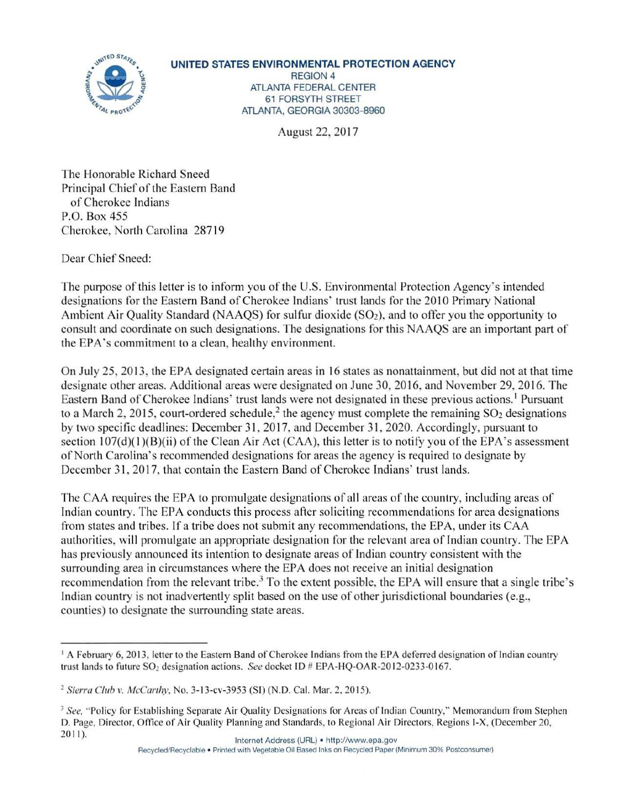

**UNITED STATES ENVIRONMENTAL PROTECTION AGENCY**  REGION 4 ATLANTA FEDERAL CENTER 61 FORSYTH STREET ATLANTA, GEORGIA 30303-8960

August 22, 2017

The Honorable Richard Sneed Principal Chief of the Eastern Band of Cherokee Indians P.O. Box 455 Cherokee, North Carolina 28719

Dear Chief Sneed:

The purpose of this letter is to inform you of the U.S. Environmental Protection Agency's intended designations for the Eastern Band of Cherokee Indians' trust lands for the 2010 Primary National Ambient Air Quality Standard (NAAQS) for sulfur dioxide  $(SO<sub>2</sub>)$ , and to offer you the opportunity to consult and coordinate on such designations. The designations for this NAAQS are an important part of the EPA· s commitment to a clean, healthy environment.

On July 25. 2013, the EPA designated certain areas in 16 states as nonattainment, but did not at that time designate other areas. Additional areas were designated on June 30, 2016, and November 29, 2016. The Eastern Band of Cherokee Indians' trust lands were not designated in these previous actions.' Pursuant to a March 2, 2015, court-ordered schedule,<sup>2</sup> the agency must complete the remaining  $SO_2$  designations by two specific deadlines: December 31, 2017, and December 31, 2020. Accordingly, pursuant to section  $107(d)(1)(B)(ii)$  of the Clean Air Act (CAA), this letter is to notify you of the EPA's assessment of North Carolina's recommended designations for areas the agency is required to designate by December 31, 2017, that contain the Eastern Band of Cherokee Indians' trust lands.

The CAA requires the EPA to promulgate designations of all areas of the country, including areas of Indian country. The EPA conducts this process after soliciting recommendations for area designations from states and tribes. If a tribe does not submit any recommendations, the EPA, under its CAA authorities, will promulgate an appropriate designation for the relevant area of Indian country. The EPA has previously announced its intention to designate areas of Indian country consistent with the surrounding area in circumstances where the EPA does not receive an initial designation recommendation from the relevant tribe.<sup>3</sup> To the extent possible, the EPA will ensure that a single tribe's Indian country is not inadvertently split based on the use of other jurisdictional boundaries (e.g., counties) to designate the surrounding state areas.

<sup>&</sup>lt;sup>1</sup> A February 6, 2013, letter to the Eastern Band of Cherokee Indians from the EPA deferred designation of Indian country trust lands to future S02 designation actions. *See* docket ID # EPA-HQ-OAR-20 12-0233-0 167.

<sup>2</sup>*Sierra Club v. McCarthy,* No. 3-J 3-cv-3953 (SI) (N.D. Cal. Mar. 2, 2015).

<sup>&</sup>lt;sup>3</sup> See. "Policy for Establishing Separate Air Quality Designations for Areas of Indian Country," Memorandum from Stephen D. Page, Director, Office of Air Quality Planning and Standards, to Regional Air Directors, Regions 1-X, (December 20, <sup>20</sup> 11). Internet Address (URL) • http://www.epa.gov